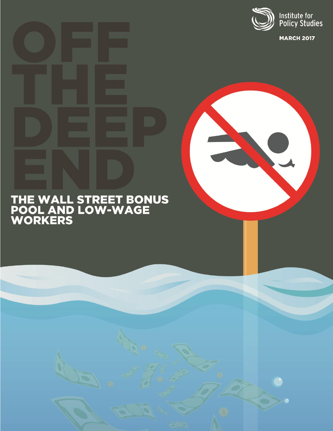

Institute for<br>Policy Studies

**MARCH 2017** 

# THE WALL STREET BONUS<br>POOL AND LOW-WAGE<br>WORKERS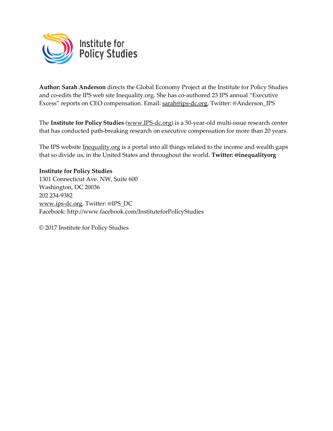

**Author: Sarah Anderson** directs the Global Economy Project at the Institute for Policy Studies and co-edits the IPS web site Inequality.org. She has co-authored 23 IPS annual "Executive Excess" reports on CEO compensation. Email: [sarah@ips-dc.org,](mailto:sarah@ips-dc.org) Twitter: @Anderson\_IPS

The **Institute for Policy Studies** [\(www.IPS-dc.org\)](http://www.ips-dc.org/) is a 50-year-old multi-issue research center that has conducted path-breaking research on executive compensation for more than 20 years.

The IPS website [Inequality.org](http://inequality.org/) is a portal into all things related to the income and wealth gaps that so divide us, in the United States and throughout the world**. Twitter: @inequalityorg**

**Institute for Policy Studies** 1301 Connecticut Ave. NW, Suite 600 Washington, DC 20036 202 234-9382 [www.ips-dc.org,](http://www.ips-dc.org/) Twitter: @IPS\_DC Facebook: http://www.facebook.com/InstituteforPolicyStudies

© 2017 Institute for Policy Studies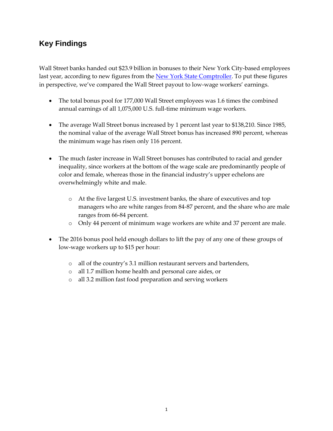# **Key Findings**

Wall Street banks handed out \$23.9 billion in bonuses to their New York City-based employees last year, according to new figures from the [New York State Comptroller.](http://osc.state.ny.us/press/releases/mar17/wall-st-bonuses-2017-nyc-sec-industry-bonus-pool.pdf) To put these figures in perspective, we've compared the Wall Street payout to low-wage workers' earnings.

- The total bonus pool for 177,000 Wall Street employees was 1.6 times the combined annual earnings of all 1,075,000 U.S. full-time minimum wage workers.
- The average Wall Street bonus increased by 1 percent last year to \$138,210. Since 1985, the nominal value of the average Wall Street bonus has increased 890 percent, whereas the minimum wage has risen only 116 percent.
- The much faster increase in Wall Street bonuses has contributed to racial and gender inequality, since workers at the bottom of the wage scale are predominantly people of color and female, whereas those in the financial industry's upper echelons are overwhelmingly white and male.
	- o At the five largest U.S. investment banks, the share of executives and top managers who are white ranges from 84-87 percent, and the share who are male ranges from 66-84 percent.
	- o Only 44 percent of minimum wage workers are white and 37 percent are male.
- The 2016 bonus pool held enough dollars to lift the pay of any one of these groups of low-wage workers up to \$15 per hour:
	- o all of the country's 3.1 million restaurant servers and bartenders,
	- o all 1.7 million home health and personal care aides, or
	- o all 3.2 million fast food preparation and serving workers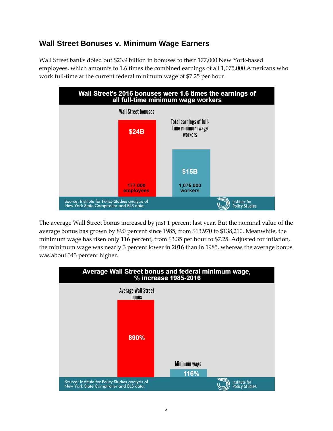## **Wall Street Bonuses v. Minimum Wage Earners**

Wall Street banks doled out \$23.9 billion in bonuses to their 177,000 New York-based employees, which amounts to 1.6 times the combined earnings of all 1,075,000 Americans who work full-time at the current federal minimum wage of \$7.25 per hour.



The average Wall Street bonus increased by just 1 percent last year. But the nominal value of the average bonus has grown by 890 percent since 1985, from \$13,970 to \$138,210. Meanwhile, the minimum wage has risen only 116 percent, from \$3.35 per hour to \$7.25. Adjusted for inflation, the minimum wage was nearly 3 percent lower in 2016 than in 1985, whereas the average bonus was about 343 percent higher.

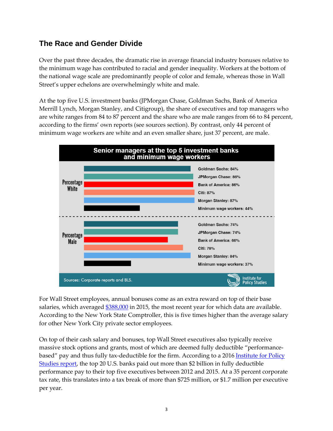#### **The Race and Gender Divide**

Over the past three decades, the dramatic rise in average financial industry bonuses relative to the minimum wage has contributed to racial and gender inequality. Workers at the bottom of the national wage scale are predominantly people of color and female, whereas those in Wall Street's upper echelons are overwhelmingly white and male.

At the top five U.S. investment banks (JPMorgan Chase, Goldman Sachs, Bank of America Merrill Lynch, Morgan Stanley, and Citigroup), the share of executives and top managers who are white ranges from 84 to 87 percent and the share who are male ranges from 66 to 84 percent, according to the firms' own reports (see sources section). By contrast, only 44 percent of minimum wage workers are white and an even smaller share, just 37 percent, are male.



For Wall Street employees, annual bonuses come as an extra reward on top of their base salaries, which averaged [\\$388,000](https://www.osc.state.ny.us/osdc/rpt8-2017.pdf) in 2015, the most recent year for which data are available. According to the New York State Comptroller, this is five times higher than the average salary for other New York City private sector employees.

On top of their cash salary and bonuses, top Wall Street executives also typically receive massive stock options and grants, most of which are deemed fully deductible "performancebased" pay and thus fully tax-deductible for the firm. According to a 2016 Institute for Policy [Studies report,](http://www.ips-dc.org/executive-excess-2016-wall-street-ceo-bonus-loophole/) the top 20 U.S. banks paid out more than \$2 billion in fully deductible performance pay to their top five executives between 2012 and 2015. At a 35 percent corporate tax rate, this translates into a tax break of more than \$725 million, or \$1.7 million per executive per year.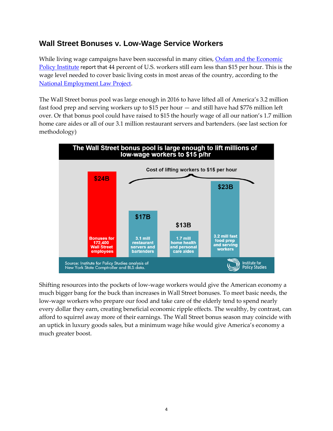## **Wall Street Bonuses v. Low-Wage Service Workers**

While living wage campaigns have been successful in many cities, Oxfam and the Economic [Policy Institute](https://www.oxfamamerica.org/static/media/files/Few_Rewards_Report_2016_web.pdf) report that 44 percent of U.S. workers still earn less than \$15 per hour. This is the wage level needed to cover basic living costs in most areas of the country, according to the [National Employment Law Project.](http://www.nelp.org/publication/growing-movement-15/)

The Wall Street bonus pool was large enough in 2016 to have lifted all of America's 3.2 million fast food prep and serving workers up to \$15 per hour — and still have had \$776 million left over. Or that bonus pool could have raised to \$15 the hourly wage of all our nation's 1.7 million home care aides or all of our 3.1 million restaurant servers and bartenders. (see last section for methodology)



Shifting resources into the pockets of low-wage workers would give the American economy a much bigger bang for the buck than increases in Wall Street bonuses. To meet basic needs, the low-wage workers who prepare our food and take care of the elderly tend to spend nearly every dollar they earn, creating beneficial economic ripple effects. The wealthy, by contrast, can afford to squirrel away more of their earnings. The Wall Street bonus season may coincide with an uptick in luxury goods sales, but a minimum wage hike would give America's economy a much greater boost.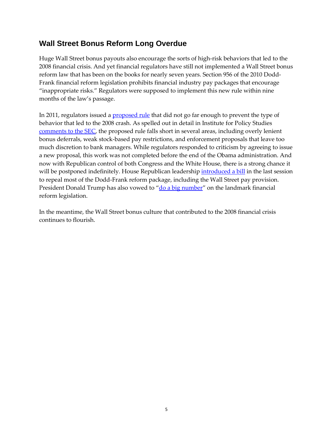#### **Wall Street Bonus Reform Long Overdue**

Huge Wall Street bonus payouts also encourage the sorts of high-risk behaviors that led to the 2008 financial crisis. And yet financial regulators have still not implemented a Wall Street bonus reform law that has been on the books for nearly seven years. Section 956 of the 2010 Dodd-Frank financial reform legislation prohibits financial industry pay packages that encourage "inappropriate risks." Regulators were supposed to implement this new rule within nine months of the law's passage.

In 2011, regulators issued a **proposed rule** that did not go far enough to prevent the type of behavior that led to the 2008 crash. As spelled out in detail in Institute for Policy Studies [comments to the SEC,](https://www.sec.gov/comments/s7-07-16/s70716-35.pdf) the proposed rule falls short in several areas, including overly lenient bonus deferrals, weak stock-based pay restrictions, and enforcement proposals that leave too much discretion to bank managers. While regulators responded to criticism by agreeing to issue a new proposal, this work was not completed before the end of the Obama administration. And now with Republican control of both Congress and the White House, there is a strong chance it will be postponed indefinitely. House Republican leadership [introduced a bill](http://financialservices.house.gov/uploadedfiles/financial_choice_act_comprehensive_outline.pdf) in the last session to repeal most of the Dodd-Frank reform package, including the Wall Street pay provision. President Donald Trump has also vowed to " $\frac{d}{d}$  big number" on the landmark financial reform legislation.

In the meantime, the Wall Street bonus culture that contributed to the 2008 financial crisis continues to flourish.